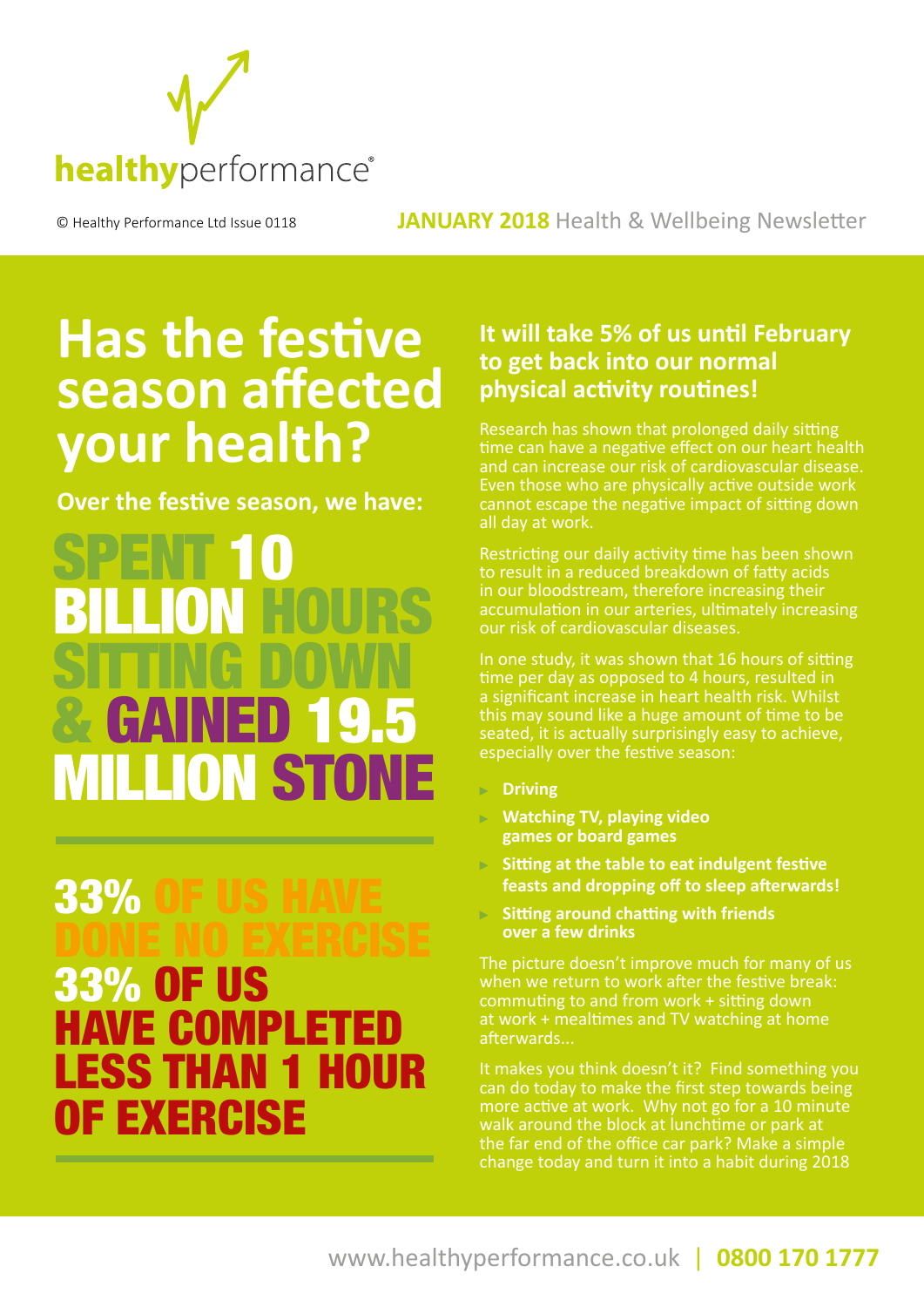

#### © Healthy Performance Ltd Issue 0118 **JANUARY 2018** Health & Wellbeing Newsletter

## **Has the festive season affected your health?**

**Over the festive season, we have:** 

SPENT 10 BILLION HOURS SITTING DOWN & GAINED 19.5 LION ST

### **33%** DONE NO EXERCISE 33% OF US AVE COMPL ESS THAN OF EXERCISE

#### **It will take 5% of us until February to get back into our normal physical activity routines!**

Research has shown that prolonged daily sitting time can have a negative effect on our heart health and can increase our risk of cardiovascular disease. Even those who are physically active outside work cannot escape the negative impact of sitting down all day at work.

Restricting our daily activity time has been shown to result in a reduced breakdown of fatty acids in our bloodstream, therefore increasing their accumulation in our arteries, ultimately increasing our risk of cardiovascular diseases.

In one study, it was shown that 16 hours of sitting time per day as opposed to 4 hours, resulted in a significant increase in heart health risk. Whilst this may sound like a huge amount of time to be seated, it is actually surprisingly easy to achieve, especially over the festive season:

- **Driving**
- **Watching TV, playing video games or board games**
- **Sitting at the table to eat indulgent festive feasts and dropping off to sleep afterwards!**
- **Sitting around chatting with friends over a few drinks**

The picture doesn't improve much for many of us when we return to work after the festive break: commuting to and from work + sitting down at work + mealtimes and TV watching at home afterwards...

It makes you think doesn't it? Find something you can do today to make the first step towards being more active at work. Why not go for a 10 minute walk around the block at lunchtime or park at the far end of the office car park? Make a simple change today and turn it into a habit during 2018